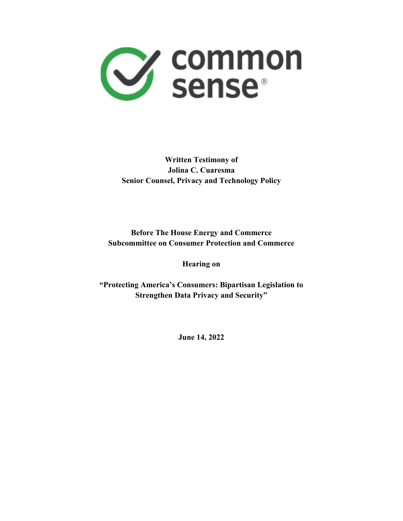

## **Written Testimony of Jolina C. Cuaresma Senior Counsel, Privacy and Technology Policy**

#### **Before The House Energy and Commerce Subcommittee on Consumer Protection and Commerce**

**Hearing on**

**"Protecting America's Consumers: Bipartisan Legislation to Strengthen Data Privacy and Security"**

**June 14, 2022**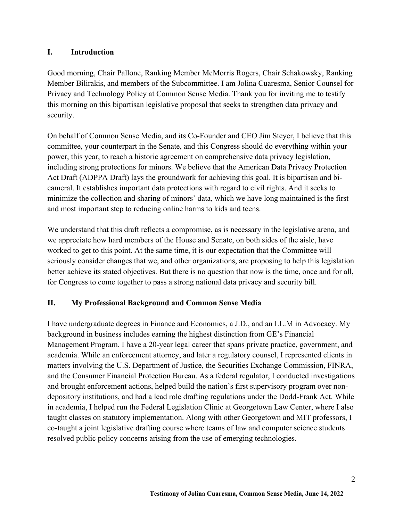#### **I. Introduction**

Good morning, Chair Pallone, Ranking Member McMorris Rogers, Chair Schakowsky, Ranking Member Bilirakis, and members of the Subcommittee. I am Jolina Cuaresma, Senior Counsel for Privacy and Technology Policy at Common Sense Media. Thank you for inviting me to testify this morning on this bipartisan legislative proposal that seeks to strengthen data privacy and security.

On behalf of Common Sense Media, and its Co-Founder and CEO Jim Steyer, I believe that this committee, your counterpart in the Senate, and this Congress should do everything within your power, this year, to reach a historic agreement on comprehensive data privacy legislation, including strong protections for minors. We believe that the American Data Privacy Protection Act Draft (ADPPA Draft) lays the groundwork for achieving this goal. It is bipartisan and bicameral. It establishes important data protections with regard to civil rights. And it seeks to minimize the collection and sharing of minors' data, which we have long maintained is the first and most important step to reducing online harms to kids and teens.

We understand that this draft reflects a compromise, as is necessary in the legislative arena, and we appreciate how hard members of the House and Senate, on both sides of the aisle, have worked to get to this point. At the same time, it is our expectation that the Committee will seriously consider changes that we, and other organizations, are proposing to help this legislation better achieve its stated objectives. But there is no question that now is the time, once and for all, for Congress to come together to pass a strong national data privacy and security bill.

#### **II. My Professional Background and Common Sense Media**

I have undergraduate degrees in Finance and Economics, a J.D., and an LL.M in Advocacy. My background in business includes earning the highest distinction from GE's Financial Management Program. I have a 20-year legal career that spans private practice, government, and academia. While an enforcement attorney, and later a regulatory counsel, I represented clients in matters involving the U.S. Department of Justice, the Securities Exchange Commission, FINRA, and the Consumer Financial Protection Bureau. As a federal regulator, I conducted investigations and brought enforcement actions, helped build the nation's first supervisory program over nondepository institutions, and had a lead role drafting regulations under the Dodd-Frank Act. While in academia, I helped run the Federal Legislation Clinic at Georgetown Law Center, where I also taught classes on statutory implementation. Along with other Georgetown and MIT professors, I co-taught a joint legislative drafting course where teams of law and computer science students resolved public policy concerns arising from the use of emerging technologies.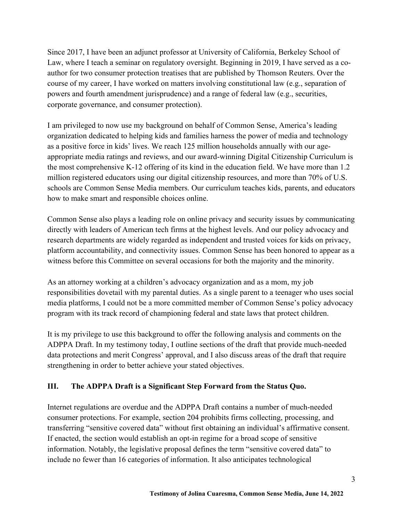Since 2017, I have been an adjunct professor at University of California, Berkeley School of Law, where I teach a seminar on regulatory oversight. Beginning in 2019, I have served as a coauthor for two consumer protection treatises that are published by Thomson Reuters. Over the course of my career, I have worked on matters involving constitutional law (e.g., separation of powers and fourth amendment jurisprudence) and a range of federal law (e.g., securities, corporate governance, and consumer protection).

I am privileged to now use my background on behalf of Common Sense, America's leading organization dedicated to helping kids and families harness the power of media and technology as a positive force in kids' lives. We reach 125 million households annually with our ageappropriate media ratings and reviews, and our award-winning Digital Citizenship Curriculum is the most comprehensive K-12 offering of its kind in the education field. We have more than 1.2 million registered educators using our digital citizenship resources, and more than 70% of U.S. schools are Common Sense Media members. Our curriculum teaches kids, parents, and educators how to make smart and responsible choices online.

Common Sense also plays a leading role on online privacy and security issues by communicating directly with leaders of American tech firms at the highest levels. And our policy advocacy and research departments are widely regarded as independent and trusted voices for kids on privacy, platform accountability, and connectivity issues. Common Sense has been honored to appear as a witness before this Committee on several occasions for both the majority and the minority.

As an attorney working at a children's advocacy organization and as a mom, my job responsibilities dovetail with my parental duties. As a single parent to a teenager who uses social media platforms, I could not be a more committed member of Common Sense's policy advocacy program with its track record of championing federal and state laws that protect children.

It is my privilege to use this background to offer the following analysis and comments on the ADPPA Draft. In my testimony today, I outline sections of the draft that provide much-needed data protections and merit Congress' approval, and I also discuss areas of the draft that require strengthening in order to better achieve your stated objectives.

#### **III. The ADPPA Draft is a Significant Step Forward from the Status Quo.**

Internet regulations are overdue and the ADPPA Draft contains a number of much-needed consumer protections. For example, section 204 prohibits firms collecting, processing, and transferring "sensitive covered data" without first obtaining an individual's affirmative consent. If enacted, the section would establish an opt-in regime for a broad scope of sensitive information. Notably, the legislative proposal defines the term "sensitive covered data" to include no fewer than 16 categories of information. It also anticipates technological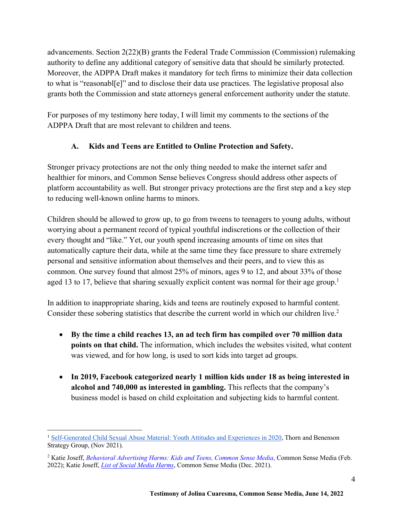advancements. Section 2(22)(B) grants the Federal Trade Commission (Commission) rulemaking authority to define any additional category of sensitive data that should be similarly protected. Moreover, the ADPPA Draft makes it mandatory for tech firms to minimize their data collection to what is "reasonabl[e]" and to disclose their data use practices. The legislative proposal also grants both the Commission and state attorneys general enforcement authority under the statute.

For purposes of my testimony here today, I will limit my comments to the sections of the ADPPA Draft that are most relevant to children and teens.

## **A. Kids and Teens are Entitled to Online Protection and Safety.**

Stronger privacy protections are not the only thing needed to make the internet safer and healthier for minors, and Common Sense believes Congress should address other aspects of platform accountability as well. But stronger privacy protections are the first step and a key step to reducing well-known online harms to minors.

Children should be allowed to grow up, to go from tweens to teenagers to young adults, without worrying about a permanent record of typical youthful indiscretions or the collection of their every thought and "like." Yet, our youth spend increasing amounts of time on sites that automatically capture their data, while at the same time they face pressure to share extremely personal and sensitive information about themselves and their peers, and to view this as common. One survey found that almost 25% of minors, ages 9 to 12, and about 33% of those aged 13 to 17, believe that sharing sexually explicit content was normal for their age group.<sup>1</sup>

In addition to inappropriate sharing, kids and teens are routinely exposed to harmful content. Consider these sobering statistics that describe the current world in which our children live.<sup>2</sup>

- **By the time a child reaches 13, an ad tech firm has compiled over 70 million data points on that child.** The information, which includes the websites visited, what content was viewed, and for how long, is used to sort kids into target ad groups.
- **In 2019, Facebook categorized nearly 1 million kids under 18 as being interested in alcohol and 740,000 as interested in gambling.** This reflects that the company's business model is based on child exploitation and subjecting kids to harmful content.

<sup>&</sup>lt;sup>1</sup> Self-Generated Child Sexual Abuse Material: Youth Attitudes and Experiences in 2020, Thorn and Benenson Strategy Group, (Nov 2021).

<sup>2</sup> Katie Joseff, *Behavioral Advertising Harms: Kids and Teens, Common Sense Media*, Common Sense Media (Feb. 2022); Katie Joseff, *List of Social Media Harms*, Common Sense Media (Dec. 2021).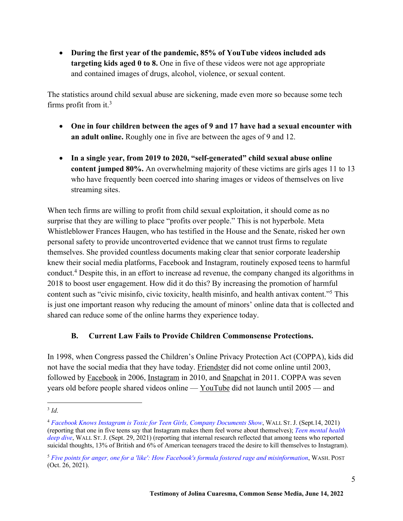• **During the first year of the pandemic, 85% of YouTube videos included ads targeting kids aged 0 to 8.** One in five of these videos were not age appropriate and contained images of drugs, alcohol, violence, or sexual content.

The statistics around child sexual abuse are sickening, made even more so because some tech firms profit from it.3

- **One in four children between the ages of 9 and 17 have had a sexual encounter with an adult online.** Roughly one in five are between the ages of 9 and 12.
- **In a single year, from 2019 to 2020, "self-generated" child sexual abuse online content jumped 80%.** An overwhelming majority of these victims are girls ages 11 to 13 who have frequently been coerced into sharing images or videos of themselves on live streaming sites.

When tech firms are willing to profit from child sexual exploitation, it should come as no surprise that they are willing to place "profits over people." This is not hyperbole. Meta Whistleblower Frances Haugen, who has testified in the House and the Senate, risked her own personal safety to provide uncontroverted evidence that we cannot trust firms to regulate themselves. She provided countless documents making clear that senior corporate leadership knew their social media platforms, Facebook and Instagram, routinely exposed teens to harmful conduct.4 Despite this, in an effort to increase ad revenue, the company changed its algorithms in 2018 to boost user engagement. How did it do this? By increasing the promotion of harmful content such as "civic misinfo, civic toxicity, health misinfo, and health antivax content."5 This is just one important reason why reducing the amount of minors' online data that is collected and shared can reduce some of the online harms they experience today.

#### **B. Current Law Fails to Provide Children Commonsense Protections.**

In 1998, when Congress passed the Children's Online Privacy Protection Act (COPPA), kids did not have the social media that they have today. Friendster did not come online until 2003, followed by Facebook in 2006, Instagram in 2010, and Snapchat in 2011. COPPA was seven years old before people shared videos online — YouTube did not launch until 2005 — and

 $3$   $Id$ .

<sup>4</sup> *Facebook Knows Instagram is Toxic for Teen Girls, Company Documents Show*, WALL ST. J. (Sept.14, 2021) (reporting that one in five teens say that Instagram makes them feel worse about themselves); *Teen mental health deep dive*, WALL ST. J. (Sept. 29, 2021) (reporting that internal research reflected that among teens who reported suicidal thoughts, 13% of British and 6% of American teenagers traced the desire to kill themselves to Instagram).

<sup>5</sup> *Five points for anger, one for a 'like': How Facebook's formula fostered rage and misinformation*, WASH. POST (Oct. 26, 2021).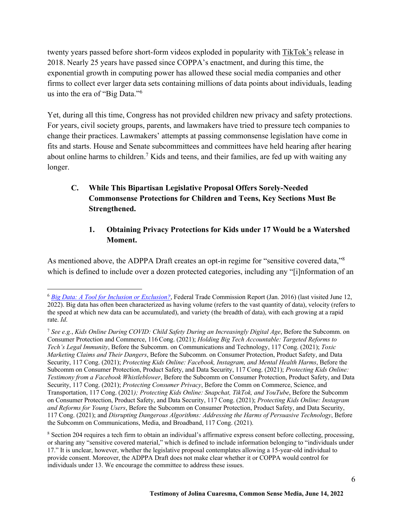twenty years passed before short-form videos exploded in popularity with TikTok's release in 2018. Nearly 25 years have passed since COPPA's enactment, and during this time, the exponential growth in computing power has allowed these social media companies and other firms to collect ever larger data sets containing millions of data points about individuals, leading us into the era of "Big Data."6

Yet, during all this time, Congress has not provided children new privacy and safety protections. For years, civil society groups, parents, and lawmakers have tried to pressure tech companies to change their practices. Lawmakers' attempts at passing commonsense legislation have come in fits and starts. House and Senate subcommittees and committees have held hearing after hearing about online harms to children.<sup>7</sup> Kids and teens, and their families, are fed up with waiting any longer.

## **C. While This Bipartisan Legislative Proposal Offers Sorely-Needed Commonsense Protections for Children and Teens, Key Sections Must Be Strengthened.**

### **1. Obtaining Privacy Protections for Kids under 17 Would be a Watershed Moment.**

As mentioned above, the ADPPA Draft creates an opt-in regime for "sensitive covered data,"<sup>8</sup> which is defined to include over a dozen protected categories, including any "[i]nformation of an

<sup>6</sup> *Big Data: A Tool for Inclusion or Exclusion?*, Federal Trade Commission Report (Jan. 2016) (last visited June 12, 2022). Big data has often been characterized as having volume (refers to the vast quantity of data), velocity (refers to the speed at which new data can be accumulated), and variety (the breadth of data), with each growing at a rapid rate. *Id*.

<sup>7</sup> *See e.g.*, *Kids Online During COVID: Child Safety During an Increasingly Digital Age*, Before the Subcomm. on Consumer Protection and Commerce, 116Cong. (2021); *Holding Big Tech Accountable: Targeted Reforms to Tech's Legal Immunity*, Before the Subcomm. on Communications and Technology, 117 Cong. (2021); *Toxic Marketing Claims and Their Dangers*, Before the Subcomm. on Consumer Protection, Product Safety, and Data Security, 117 Cong. (2021); *Protecting Kids Online: Facebook, Instagram, and Mental Health Harms*, Before the Subcomm on Consumer Protection, Product Safety, and Data Security, 117 Cong. (2021); *Protecting Kids Online: Testimony from a Facebook Whistleblower*, Before the Subcomm on Consumer Protection, Product Safety, and Data Security, 117 Cong. (2021); *Protecting Consumer Privacy*, Before the Comm on Commerce, Science, and Transportation, 117 Cong. (2021*); Protecting Kids Online: Snapchat, TikTok, and YouTube*, Before the Subcomm on Consumer Protection, Product Safety, and Data Security, 117 Cong. (2021); *Protecting Kids Online: Instagram and Reforms for Young Users*, Before the Subcomm on Consumer Protection, Product Safety, and Data Security, 117 Cong. (2021); and *Disrupting Dangerous Algorithms: Addressing the Harms of Persuasive Technology*, Before the Subcomm on Communications, Media, and Broadband, 117 Cong. (2021).

<sup>8</sup> Section 204 requires a tech firm to obtain an individual's affirmative express consent before collecting, processing, or sharing any "sensitive covered material," which is defined to include information belonging to "individuals under 17." It is unclear, however, whether the legislative proposal contemplates allowing a 15-year-old individual to provide consent. Moreover, the ADPPA Draft does not make clear whether it or COPPA would control for individuals under 13. We encourage the committee to address these issues.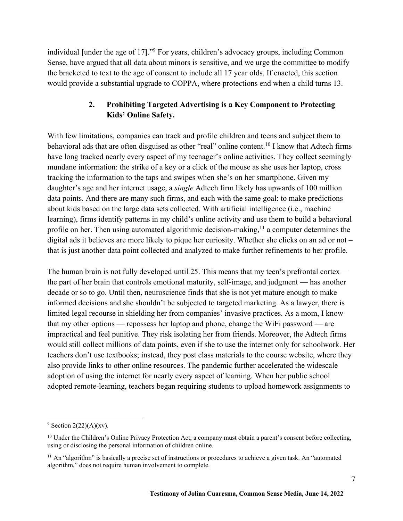individual **[**under the age of 17**]**."9 For years, children's advocacy groups, including Common Sense, have argued that all data about minors is sensitive, and we urge the committee to modify the bracketed to text to the age of consent to include all 17 year olds. If enacted, this section would provide a substantial upgrade to COPPA, where protections end when a child turns 13.

#### **2. Prohibiting Targeted Advertising is a Key Component to Protecting Kids' Online Safety.**

With few limitations, companies can track and profile children and teens and subject them to behavioral ads that are often disguised as other "real" online content.<sup>10</sup> I know that Adtech firms have long tracked nearly every aspect of my teenager's online activities. They collect seemingly mundane information: the strike of a key or a click of the mouse as she uses her laptop, cross tracking the information to the taps and swipes when she's on her smartphone. Given my daughter's age and her internet usage, a *single* Adtech firm likely has upwards of 100 million data points. And there are many such firms, and each with the same goal: to make predictions about kids based on the large data sets collected. With artificial intelligence (i.e., machine learning), firms identify patterns in my child's online activity and use them to build a behavioral profile on her. Then using automated algorithmic decision-making,<sup>11</sup> a computer determines the digital ads it believes are more likely to pique her curiosity. Whether she clicks on an ad or not – that is just another data point collected and analyzed to make further refinements to her profile.

The human brain is not fully developed until 25. This means that my teen's prefrontal cortex  $$ the part of her brain that controls emotional maturity, self-image, and judgment — has another decade or so to go. Until then, neuroscience finds that she is not yet mature enough to make informed decisions and she shouldn't be subjected to targeted marketing. As a lawyer, there is limited legal recourse in shielding her from companies' invasive practices. As a mom, I know that my other options — repossess her laptop and phone, change the WiFi password — are impractical and feel punitive. They risk isolating her from friends. Moreover, the Adtech firms would still collect millions of data points, even if she to use the internet only for schoolwork. Her teachers don't use textbooks; instead, they post class materials to the course website, where they also provide links to other online resources. The pandemic further accelerated the widescale adoption of using the internet for nearly every aspect of learning. When her public school adopted remote-learning, teachers began requiring students to upload homework assignments to

 $9$  Section 2(22)(A)(xv).

 $10$  Under the Children's Online Privacy Protection Act, a company must obtain a parent's consent before collecting, using or disclosing the personal information of children online.

 $11$  An "algorithm" is basically a precise set of instructions or procedures to achieve a given task. An "automated" algorithm," does not require human involvement to complete.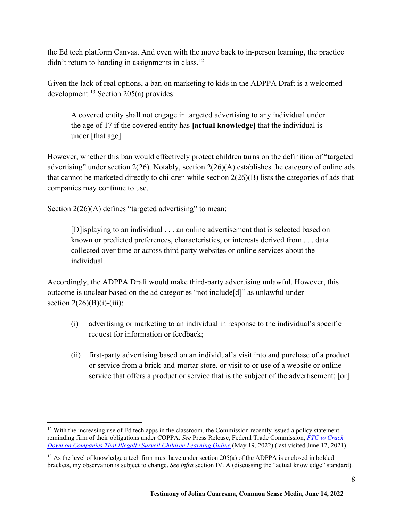the Ed tech platform Canvas. And even with the move back to in-person learning, the practice didn't return to handing in assignments in class.<sup>12</sup>

Given the lack of real options, a ban on marketing to kids in the ADPPA Draft is a welcomed development.<sup>13</sup> Section 205(a) provides:

A covered entity shall not engage in targeted advertising to any individual under the age of 17 if the covered entity has **[actual knowledge]** that the individual is under [that age].

However, whether this ban would effectively protect children turns on the definition of "targeted advertising" under section  $2(26)$ . Notably, section  $2(26)(A)$  establishes the category of online ads that cannot be marketed directly to children while section 2(26)(B) lists the categories of ads that companies may continue to use.

Section 2(26)(A) defines "targeted advertising" to mean:

[D]isplaying to an individual . . . an online advertisement that is selected based on known or predicted preferences, characteristics, or interests derived from . . . data collected over time or across third party websites or online services about the individual.

Accordingly, the ADPPA Draft would make third-party advertising unlawful. However, this outcome is unclear based on the ad categories "not include[d]" as unlawful under section  $2(26)(B)(i)-(iii)$ :

- (i) advertising or marketing to an individual in response to the individual's specific request for information or feedback;
- (ii) first-party advertising based on an individual's visit into and purchase of a product or service from a brick-and-mortar store, or visit to or use of a website or online service that offers a product or service that is the subject of the advertisement; [or]

<sup>&</sup>lt;sup>12</sup> With the increasing use of Ed tech apps in the classroom, the Commission recently issued a policy statement reminding firm of their obligations under COPPA. *See* Press Release, Federal Trade Commission, *FTC to Crack Down on Companies That Illegally Surveil Children Learning Online* (May 19, 2022) (last visited June 12, 2021).

<sup>&</sup>lt;sup>13</sup> As the level of knowledge a tech firm must have under section 205(a) of the ADPPA is enclosed in bolded brackets, my observation is subject to change. *See infra* section IV. A (discussing the "actual knowledge" standard).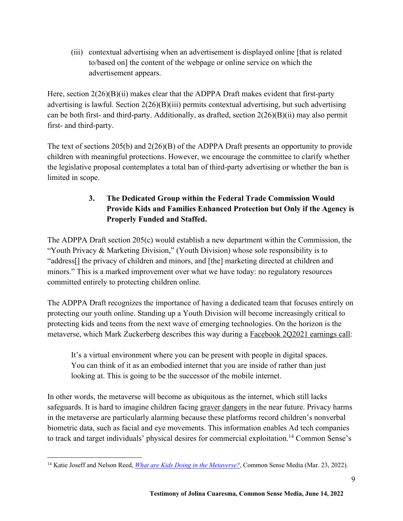(iii) contextual advertising when an advertisement is displayed online [that is related to/based on] the content of the webpage or online service on which the advertisement appears.

Here, section  $2(26)(B)(ii)$  makes clear that the ADPPA Draft makes evident that first-party advertising is lawful. Section 2(26)(B)(iii) permits contextual advertising, but such advertising can be both first- and third-party. Additionally, as drafted, section 2(26)(B)(ii) may also permit first- and third-party.

The text of sections 205(b) and 2(26)(B) of the ADPPA Draft presents an opportunity to provide children with meaningful protections. However, we encourage the committee to clarify whether the legislative proposal contemplates a total ban of third-party advertising or whether the ban is limited in scope.

# **3. The Dedicated Group within the Federal Trade Commission Would Provide Kids and Families Enhanced Protection but Only if the Agency is Properly Funded and Staffed.**

The ADPPA Draft section 205(c) would establish a new department within the Commission, the "Youth Privacy & Marketing Division," (Youth Division) whose sole responsibility is to "address[] the privacy of children and minors, and [the] marketing directed at children and minors." This is a marked improvement over what we have today: no regulatory resources committed entirely to protecting children online.

The ADPPA Draft recognizes the importance of having a dedicated team that focuses entirely on protecting our youth online. Standing up a Youth Division will become increasingly critical to protecting kids and teens from the next wave of emerging technologies. On the horizon is the metaverse, which Mark Zuckerberg describes this way during a Facebook 2Q2021 earnings call:

It's a virtual environment where you can be present with people in digital spaces. You can think of it as an embodied internet that you are inside of rather than just looking at. This is going to be the successor of the mobile internet.

In other words, the metaverse will become as ubiquitous as the internet, which still lacks safeguards. It is hard to imagine children facing graver dangers in the near future. Privacy harms in the metaverse are particularly alarming because these platforms record children's nonverbal biometric data, such as facial and eye movements. This information enables Ad tech companies to track and target individuals' physical desires for commercial exploitation.<sup>14</sup> Common Sense's

<sup>14</sup> Katie Joseff and Nelson Reed, *What are Kids Doing in the Metaverse?*, Common Sense Media (Mar. 23, 2022).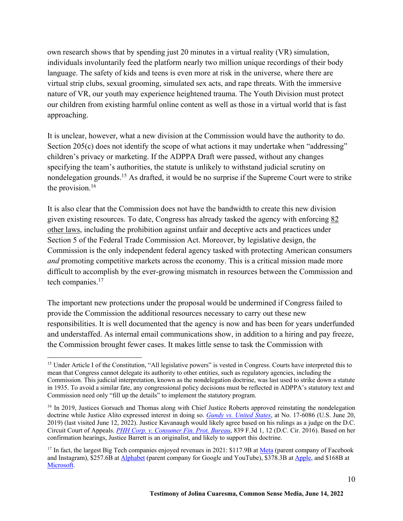own research shows that by spending just 20 minutes in a virtual reality (VR) simulation, individuals involuntarily feed the platform nearly two million unique recordings of their body language. The safety of kids and teens is even more at risk in the universe, where there are virtual strip clubs, sexual grooming, simulated sex acts, and rape threats. With the immersive nature of VR, our youth may experience heightened trauma. The Youth Division must protect our children from existing harmful online content as well as those in a virtual world that is fast approaching.

It is unclear, however, what a new division at the Commission would have the authority to do. Section 205(c) does not identify the scope of what actions it may undertake when "addressing" children's privacy or marketing. If the ADPPA Draft were passed, without any changes specifying the team's authorities, the statute is unlikely to withstand judicial scrutiny on nondelegation grounds.<sup>15</sup> As drafted, it would be no surprise if the Supreme Court were to strike the provision.<sup>16</sup>

It is also clear that the Commission does not have the bandwidth to create this new division given existing resources. To date, Congress has already tasked the agency with enforcing 82 other laws, including the prohibition against unfair and deceptive acts and practices under Section 5 of the Federal Trade Commission Act. Moreover, by legislative design, the Commission is the only independent federal agency tasked with protecting American consumers *and* promoting competitive markets across the economy. This is a critical mission made more difficult to accomplish by the ever-growing mismatch in resources between the Commission and tech companies.<sup>17</sup>

The important new protections under the proposal would be undermined if Congress failed to provide the Commission the additional resources necessary to carry out these new responsibilities. It is well documented that the agency is now and has been for years underfunded and understaffed. As internal email communications show, in addition to a hiring and pay freeze, the Commission brought fewer cases. It makes little sense to task the Commission with

<sup>&</sup>lt;sup>15</sup> Under Article I of the Constitution, "All legislative powers" is vested in Congress. Courts have interpreted this to mean that Congress cannot delegate its authority to other entities, such as regulatory agencies, including the Commission. This judicial interpretation, known as the nondelegation doctrine, was last used to strike down a statute in 1935. To avoid a similar fate, any congressional policy decisions must be reflected in ADPPA's statutory text and Commission need only "fill up the details" to implement the statutory program.

<sup>&</sup>lt;sup>16</sup> In 2019, Justices Gorsuch and Thomas along with Chief Justice Roberts approved reinstating the nondelegation doctrine while Justice Alito expressed interest in doing so. *Gundy vs. United States*, at No. 17-6086 (U.S. June 20, 2019) (last visited June 12, 2022). Justice Kavanaugh would likely agree based on his rulings as a judge on the D.C. Circuit Court of Appeals. *PHH Corp. v. Consumer Fin. Prot. Bureau*, 839 F.3d 1, 12 (D.C. Cir. 2016). Based on her confirmation hearings, Justice Barrett is an originalist, and likely to support this doctrine.

<sup>&</sup>lt;sup>17</sup> In fact, the largest Big Tech companies enjoyed revenues in 2021: \$117.9B at <u>Meta</u> (parent company of Facebook and Instagram), \$257.6B at Alphabet (parent company for Google and YouTube), \$378.3B at Apple, and \$168B at Microsoft.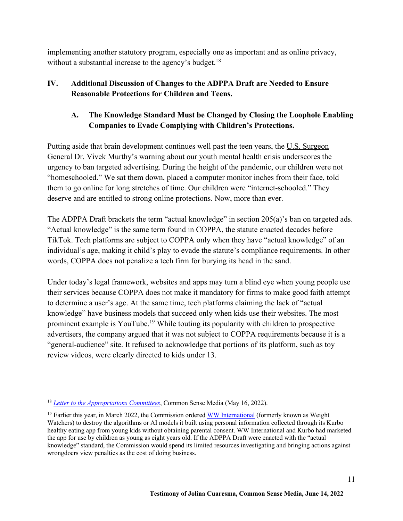implementing another statutory program, especially one as important and as online privacy, without a substantial increase to the agency's budget.<sup>18</sup>

### **IV. Additional Discussion of Changes to the ADPPA Draft are Needed to Ensure Reasonable Protections for Children and Teens.**

### **A. The Knowledge Standard Must be Changed by Closing the Loophole Enabling Companies to Evade Complying with Children's Protections.**

Putting aside that brain development continues well past the teen years, the U.S. Surgeon General Dr. Vivek Murthy's warning about our youth mental health crisis underscores the urgency to ban targeted advertising. During the height of the pandemic, our children were not "homeschooled." We sat them down, placed a computer monitor inches from their face, told them to go online for long stretches of time. Our children were "internet-schooled." They deserve and are entitled to strong online protections. Now, more than ever.

The ADPPA Draft brackets the term "actual knowledge" in section 205(a)'s ban on targeted ads. "Actual knowledge" is the same term found in COPPA, the statute enacted decades before TikTok. Tech platforms are subject to COPPA only when they have "actual knowledge" of an individual's age, making it child's play to evade the statute's compliance requirements. In other words, COPPA does not penalize a tech firm for burying its head in the sand.

Under today's legal framework, websites and apps may turn a blind eye when young people use their services because COPPA does not make it mandatory for firms to make good faith attempt to determine a user's age. At the same time, tech platforms claiming the lack of "actual knowledge" have business models that succeed only when kids use their websites. The most prominent example is YouTube.<sup>19</sup> While touting its popularity with children to prospective advertisers, the company argued that it was not subject to COPPA requirements because it is a "general-audience" site. It refused to acknowledge that portions of its platform, such as toy review videos, were clearly directed to kids under 13.

<sup>18</sup> *Letter to the Appropriations Committees*, Common Sense Media (May 16, 2022).

<sup>&</sup>lt;sup>19</sup> Earlier this year, in March 2022, the Commission ordered WW International (formerly known as Weight Watchers) to destroy the algorithms or AI models it built using personal information collected through its Kurbo healthy eating app from young kids without obtaining parental consent. WW International and Kurbo had marketed the app for use by children as young as eight years old. If the ADPPA Draft were enacted with the "actual knowledge" standard, the Commission would spend its limited resources investigating and bringing actions against wrongdoers view penalties as the cost of doing business.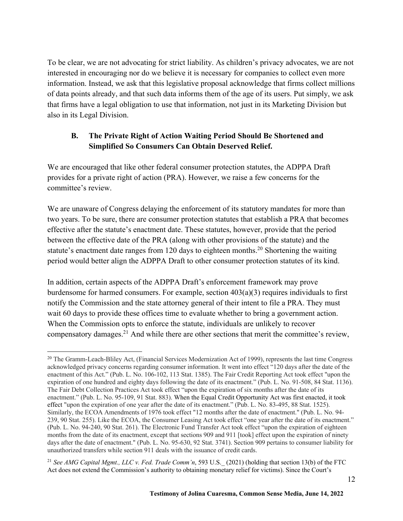To be clear, we are not advocating for strict liability. As children's privacy advocates, we are not interested in encouraging nor do we believe it is necessary for companies to collect even more information. Instead, we ask that this legislative proposal acknowledge that firms collect millions of data points already, and that such data informs them of the age of its users. Put simply, we ask that firms have a legal obligation to use that information, not just in its Marketing Division but also in its Legal Division.

#### **B. The Private Right of Action Waiting Period Should Be Shortened and Simplified So Consumers Can Obtain Deserved Relief.**

We are encouraged that like other federal consumer protection statutes, the ADPPA Draft provides for a private right of action (PRA). However, we raise a few concerns for the committee's review.

We are unaware of Congress delaying the enforcement of its statutory mandates for more than two years. To be sure, there are consumer protection statutes that establish a PRA that becomes effective after the statute's enactment date. These statutes, however, provide that the period between the effective date of the PRA (along with other provisions of the statute) and the statute's enactment date ranges from 120 days to eighteen months.<sup>20</sup> Shortening the waiting period would better align the ADPPA Draft to other consumer protection statutes of its kind.

In addition, certain aspects of the ADPPA Draft's enforcement framework may prove burdensome for harmed consumers. For example, section 403(a)(3) requires individuals to first notify the Commission and the state attorney general of their intent to file a PRA. They must wait 60 days to provide these offices time to evaluate whether to bring a government action. When the Commission opts to enforce the statute, individuals are unlikely to recover compensatory damages.21 And while there are other sections that merit the committee's review,

<sup>&</sup>lt;sup>20</sup> The Gramm-Leach-Bliley Act, (Financial Services Modernization Act of 1999), represents the last time Congress acknowledged privacy concerns regarding consumer information. It went into effect "120 days after the date of the enactment of this Act." (Pub. L. No. 106-102, 113 Stat. 1385). The Fair Credit Reporting Act took effect "upon the expiration of one hundred and eighty days following the date of its enactment." (Pub. L. No. 91-508, 84 Stat. 1136). The Fair Debt Collection Practices Act took effect "upon the expiration of six months after the date of its enactment." (Pub. L. No. 95-109, 91 Stat. 883). When the Equal Credit Opportunity Act was first enacted, it took effect "upon the expiration of one year after the date of its enactment." (Pub. L. No. 83-495, 88 Stat. 1525). Similarly, the ECOA Amendments of 1976 took effect "12 months after the date of enactment." (Pub. L. No. 94- 239, 90 Stat. 255). Like the ECOA, the Consumer Leasing Act took effect "one year after the date of its enactment." (Pub. L. No. 94-240, 90 Stat. 261). The Electronic Fund Transfer Act took effect "upon the expiration of eighteen months from the date of its enactment, except that sections 909 and 911 [took] effect upon the expiration of ninety days after the date of enactment." (Pub. L. No. 95-630, 92 Stat. 3741). Section 909 pertains to consumer liability for unauthorized transfers while section 911 deals with the issuance of credit cards.

<sup>&</sup>lt;sup>21</sup> See AMG Capital Mgmt., LLC v. Fed. Trade Comm'n, 593 U.S. (2021) (holding that section 13(b) of the FTC Act does not extend the Commission's authority to obtaining monetary relief for victims). Since the Court's